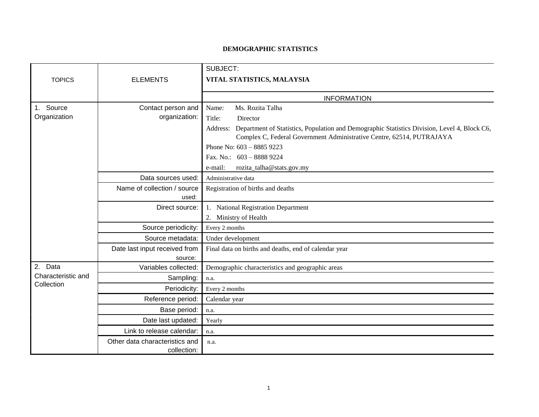## **DEMOGRAPHIC STATISTICS**

|                                                |                                | SUBJECT:                                                                                                                                                                       |
|------------------------------------------------|--------------------------------|--------------------------------------------------------------------------------------------------------------------------------------------------------------------------------|
| <b>TOPICS</b>                                  | <b>ELEMENTS</b>                | VITAL STATISTICS, MALAYSIA                                                                                                                                                     |
|                                                |                                |                                                                                                                                                                                |
|                                                |                                | <b>INFORMATION</b>                                                                                                                                                             |
| Source<br>$1_{\cdot}$<br>Organization          | Contact person and             | Ms. Rozita Talha<br>Name:                                                                                                                                                      |
|                                                | organization:                  | Title:<br>Director                                                                                                                                                             |
|                                                |                                | Address: Department of Statistics, Population and Demographic Statistics Division, Level 4, Block C6,<br>Complex C, Federal Government Administrative Centre, 62514, PUTRAJAYA |
|                                                |                                | Phone No: $603 - 88859223$                                                                                                                                                     |
|                                                |                                | Fax. No.: $603 - 88889224$                                                                                                                                                     |
|                                                |                                | e-mail:<br>rozita_talha@stats.gov.my                                                                                                                                           |
|                                                | Data sources used:             | Administrative data                                                                                                                                                            |
|                                                | Name of collection / source    | Registration of births and deaths                                                                                                                                              |
|                                                | used:                          |                                                                                                                                                                                |
|                                                | Direct source:                 | 1. National Registration Department                                                                                                                                            |
|                                                |                                | 2. Ministry of Health                                                                                                                                                          |
|                                                | Source periodicity:            | Every 2 months                                                                                                                                                                 |
|                                                | Source metadata:               | Under development                                                                                                                                                              |
|                                                | Date last input received from  | Final data on births and deaths, end of calendar year                                                                                                                          |
|                                                | source:                        |                                                                                                                                                                                |
| 2.<br>Data<br>Characteristic and<br>Collection | Variables collected:           | Demographic characteristics and geographic areas                                                                                                                               |
|                                                | Sampling:                      | n.a.                                                                                                                                                                           |
|                                                | Periodicity:                   | Every 2 months                                                                                                                                                                 |
|                                                | Reference period:              | Calendar year                                                                                                                                                                  |
|                                                | Base period:                   | n.a.                                                                                                                                                                           |
|                                                | Date last updated:             | Yearly                                                                                                                                                                         |
|                                                | Link to release calendar:      | n.a.                                                                                                                                                                           |
|                                                | Other data characteristics and | n.a.                                                                                                                                                                           |
|                                                | collection:                    |                                                                                                                                                                                |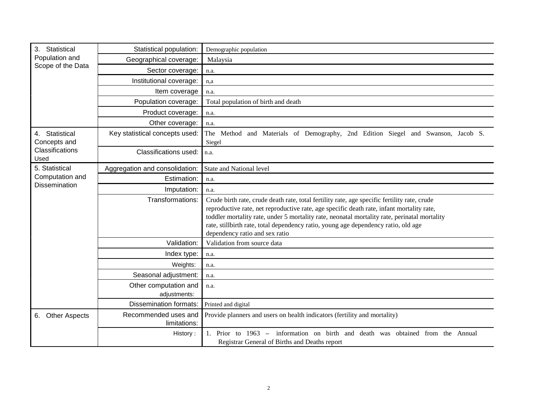| Statistical<br>3.<br>Population and<br>Scope of the Data     | Statistical population:              | Demographic population                                                                                                                                                                                                                                                                                                                                                                                            |
|--------------------------------------------------------------|--------------------------------------|-------------------------------------------------------------------------------------------------------------------------------------------------------------------------------------------------------------------------------------------------------------------------------------------------------------------------------------------------------------------------------------------------------------------|
|                                                              | Geographical coverage:               | Malaysia                                                                                                                                                                                                                                                                                                                                                                                                          |
|                                                              | Sector coverage:                     | n.a.                                                                                                                                                                                                                                                                                                                                                                                                              |
|                                                              | Institutional coverage:              | n,a                                                                                                                                                                                                                                                                                                                                                                                                               |
|                                                              | Item coverage                        | n.a.                                                                                                                                                                                                                                                                                                                                                                                                              |
|                                                              | Population coverage:                 | Total population of birth and death                                                                                                                                                                                                                                                                                                                                                                               |
|                                                              | Product coverage:                    | n.a.                                                                                                                                                                                                                                                                                                                                                                                                              |
|                                                              | Other coverage:                      | n.a.                                                                                                                                                                                                                                                                                                                                                                                                              |
| Statistical<br>4.<br>Concepts and<br>Classifications<br>Used | Key statistical concepts used:       | The Method and Materials of Demography, 2nd Edition Siegel and Swanson, Jacob S.<br>Siegel                                                                                                                                                                                                                                                                                                                        |
|                                                              | Classifications used:                | n.a.                                                                                                                                                                                                                                                                                                                                                                                                              |
| 5. Statistical<br>Computation and                            | Aggregation and consolidation:       | State and National level                                                                                                                                                                                                                                                                                                                                                                                          |
|                                                              | Estimation:                          | n.a.                                                                                                                                                                                                                                                                                                                                                                                                              |
| <b>Dissemination</b>                                         | Imputation:                          | n.a.                                                                                                                                                                                                                                                                                                                                                                                                              |
|                                                              | Transformations:                     | Crude birth rate, crude death rate, total fertility rate, age specific fertility rate, crude<br>reproductive rate, net reproductive rate, age specific death rate, infant mortality rate,<br>toddler mortality rate, under 5 mortality rate, neonatal mortality rate, perinatal mortality<br>rate, stillbirth rate, total dependency ratio, young age dependency ratio, old age<br>dependency ratio and sex ratio |
|                                                              | Validation:                          | Validation from source data                                                                                                                                                                                                                                                                                                                                                                                       |
|                                                              | Index type:                          | n.a.                                                                                                                                                                                                                                                                                                                                                                                                              |
|                                                              | Weights:                             | n.a.                                                                                                                                                                                                                                                                                                                                                                                                              |
|                                                              | Seasonal adjustment:                 | n.a.                                                                                                                                                                                                                                                                                                                                                                                                              |
|                                                              | Other computation and                | n.a.                                                                                                                                                                                                                                                                                                                                                                                                              |
|                                                              | adjustments:                         |                                                                                                                                                                                                                                                                                                                                                                                                                   |
|                                                              | <b>Dissemination formats:</b>        | Printed and digital                                                                                                                                                                                                                                                                                                                                                                                               |
| <b>Other Aspects</b><br>6.                                   | Recommended uses and<br>limitations: | Provide planners and users on health indicators (fertility and mortality)                                                                                                                                                                                                                                                                                                                                         |
|                                                              | History:                             | 1. Prior to 1963 – information on birth and death was obtained from the Annual<br>Registrar General of Births and Deaths report                                                                                                                                                                                                                                                                                   |